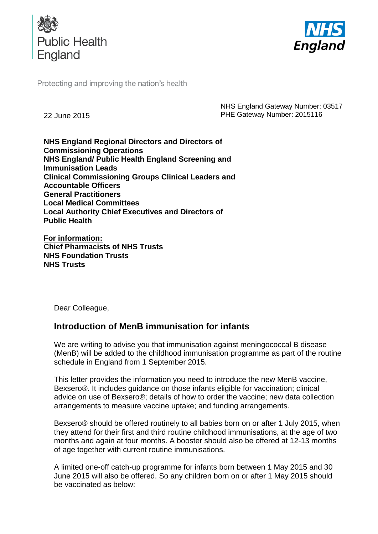



Protecting and improving the nation's health

22 June 2015

NHS England Gateway Number: 03517 PHE Gateway Number: 2015116

**NHS England Regional Directors and Directors of Commissioning Operations NHS England/ Public Health England Screening and Immunisation Leads Clinical Commissioning Groups Clinical Leaders and Accountable Officers General Practitioners Local Medical Committees Local Authority Chief Executives and Directors of Public Health**

**For information: Chief Pharmacists of NHS Trusts NHS Foundation Trusts NHS Trusts**

Dear Colleague,

# **Introduction of MenB immunisation for infants**

We are writing to advise you that immunisation against meningococcal B disease (MenB) will be added to the childhood immunisation programme as part of the routine schedule in England from 1 September 2015.

This letter provides the information you need to introduce the new MenB vaccine, Bexsero®. It includes guidance on those infants eligible for vaccination; clinical advice on use of Bexsero®; details of how to order the vaccine; new data collection arrangements to measure vaccine uptake; and funding arrangements.

Bexsero® should be offered routinely to all babies born on or after 1 July 2015, when they attend for their first and third routine childhood immunisations, at the age of two months and again at four months. A booster should also be offered at 12-13 months of age together with current routine immunisations.

A limited one-off catch-up programme for infants born between 1 May 2015 and 30 June 2015 will also be offered. So any children born on or after 1 May 2015 should be vaccinated as below: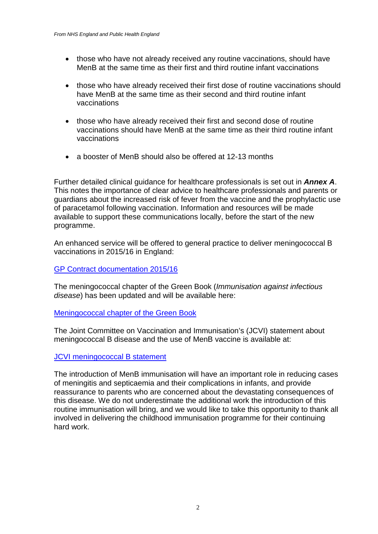- those who have not already received any routine vaccinations, should have MenB at the same time as their first and third routine infant vaccinations
- those who have already received their first dose of routine vaccinations should have MenB at the same time as their second and third routine infant vaccinations
- those who have already received their first and second dose of routine vaccinations should have MenB at the same time as their third routine infant vaccinations
- a booster of MenB should also be offered at 12-13 months

Further detailed clinical guidance for healthcare professionals is set out in *Annex A*. This notes the importance of clear advice to healthcare professionals and parents or guardians about the increased risk of fever from the vaccine and the prophylactic use of paracetamol following vaccination. Information and resources will be made available to support these communications locally, before the start of the new programme.

An enhanced service will be offered to general practice to deliver meningococcal B vaccinations in 2015/16 in England:

#### [GP Contract documentation 2015/16](http://www.england.nhs.uk/commissioning/gp-contract/)

The meningococcal chapter of the Green Book (*Immunisation against infectious disease*) has been updated and will be available here:

#### [Meningococcal chapter of the Green Book](https://www.gov.uk/government/collections/immunisation-against-infectious-disease-the-green-book)

The Joint Committee on Vaccination and Immunisation's (JCVI) statement about meningococcal B disease and the use of MenB vaccine is available at:

#### [JCVI meningococcal B statement](https://www.gov.uk/government/publications/meningococcal-b-vaccine-jcvi-position-statement)

The introduction of MenB immunisation will have an important role in reducing cases of meningitis and septicaemia and their complications in infants, and provide reassurance to parents who are concerned about the devastating consequences of this disease. We do not underestimate the additional work the introduction of this routine immunisation will bring, and we would like to take this opportunity to thank all involved in delivering the childhood immunisation programme for their continuing hard work.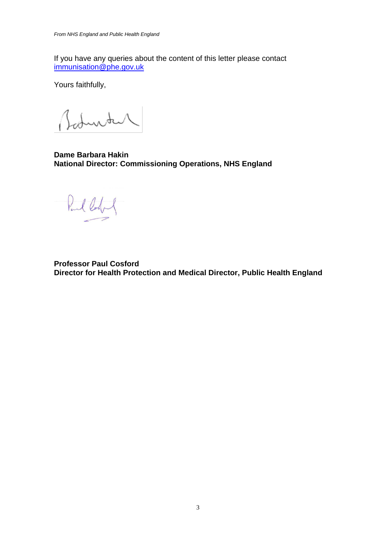If you have any queries about the content of this letter please contact [immunisation@phe.gov.uk](mailto:immunisation@phe.gov.uk)

Yours faithfully,

Baturtal

**Dame Barbara Hakin National Director: Commissioning Operations, NHS England**

Pul lody

**Professor Paul Cosford Director for Health Protection and Medical Director, Public Health England**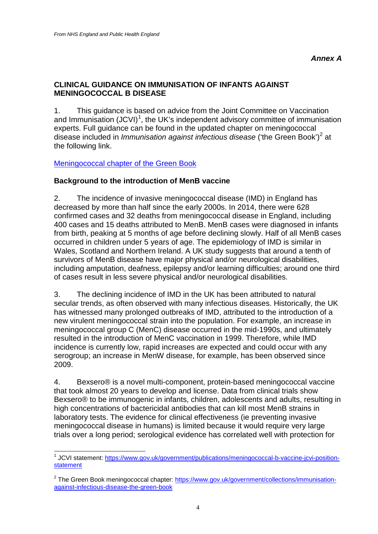## **CLINICAL GUIDANCE ON IMMUNISATION OF INFANTS AGAINST MENINGOCOCCAL B DISEASE**

1. This guidance is based on advice from the Joint Committee on Vaccination and Immunisation  $(JCVI)^1$  $(JCVI)^1$ , the UK's independent advisory committee of immunisation experts. Full guidance can be found in the updated chapter on meningococcal disease included in *Immunisation against infectious disease* ('the Green Book')<sup>[2](#page-3-1)</sup> at the following link.

## [Meningococcal chapter of the Green Book](https://www.gov.uk/government/collections/immunisation-against-infectious-disease-the-green-book)

#### **Background to the introduction of MenB vaccine**

2. The incidence of invasive meningococcal disease (IMD) in England has decreased by more than half since the early 2000s. In 2014, there were 628 confirmed cases and 32 deaths from meningococcal disease in England, including 400 cases and 15 deaths attributed to MenB. MenB cases were diagnosed in infants from birth, peaking at 5 months of age before declining slowly. Half of all MenB cases occurred in children under 5 years of age. The epidemiology of IMD is similar in Wales, Scotland and Northern Ireland. A UK study suggests that around a tenth of survivors of MenB disease have major physical and/or neurological disabilities, including amputation, deafness, epilepsy and/or learning difficulties; around one third of cases result in less severe physical and/or neurological disabilities.

3. The declining incidence of IMD in the UK has been attributed to natural secular trends, as often observed with many infectious diseases. Historically, the UK has witnessed many prolonged outbreaks of IMD, attributed to the introduction of a new virulent meningococcal strain into the population. For example, an increase in meningococcal group C (MenC) disease occurred in the mid-1990s, and ultimately resulted in the introduction of MenC vaccination in 1999. Therefore, while IMD incidence is currently low, rapid increases are expected and could occur with any serogroup; an increase in MenW disease, for example, has been observed since 2009.

4. Bexsero® is a novel multi-component, protein-based meningococcal vaccine that took almost 20 years to develop and license. Data from clinical trials show Bexsero® to be immunogenic in infants, children, adolescents and adults, resulting in high concentrations of bactericidal antibodies that can kill most MenB strains in laboratory tests. The evidence for clinical effectiveness (ie preventing invasive meningococcal disease in humans) is limited because it would require very large trials over a long period; serological evidence has correlated well with protection for

<span id="page-3-0"></span><sup>1</sup> JCVI statement: [https://www.gov.uk/government/publications/meningococcal-b-vaccine-jcvi-position](https://www.gov.uk/government/publications/meningococcal-b-vaccine-jcvi-position-statement)[statement](https://www.gov.uk/government/publications/meningococcal-b-vaccine-jcvi-position-statement)  $\overline{\phantom{a}}$ 

<span id="page-3-1"></span><sup>&</sup>lt;sup>2</sup> The Green Book meningococcal chapter: [https://www.gov.uk/government/collections/immunisation](https://www.gov.uk/government/collections/immunisation-against-infectious-disease-the-green-book)[against-infectious-disease-the-green-book](https://www.gov.uk/government/collections/immunisation-against-infectious-disease-the-green-book)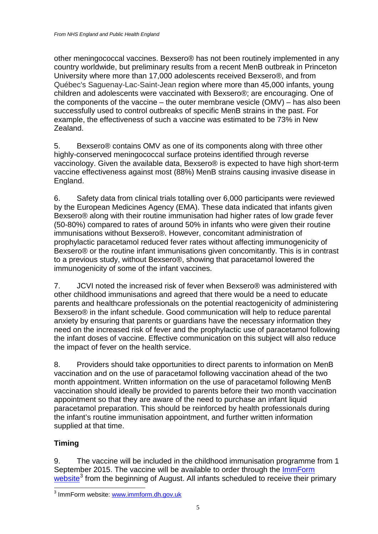other meningococcal vaccines. Bexsero® has not been routinely implemented in any country worldwide, but preliminary results from a recent MenB outbreak in Princeton University where more than 17,000 adolescents received Bexsero®, and from Québec's Saguenay-Lac-Saint-Jean region where more than 45,000 infants, young children and adolescents were vaccinated with Bexsero®; are encouraging. One of the components of the vaccine – the outer membrane vesicle (OMV) – has also been successfully used to control outbreaks of specific MenB strains in the past. For example, the effectiveness of such a vaccine was estimated to be 73% in New Zealand.

5. Bexsero® contains OMV as one of its components along with three other highly-conserved meningococcal surface proteins identified through reverse vaccinology. Given the available data, Bexsero® is expected to have high short-term vaccine effectiveness against most (88%) MenB strains causing invasive disease in England.

6. Safety data from clinical trials totalling over 6,000 participants were reviewed by the European Medicines Agency (EMA). These data indicated that infants given Bexsero® along with their routine immunisation had higher rates of low grade fever (50-80%) compared to rates of around 50% in infants who were given their routine immunisations without Bexsero®. However, concomitant administration of prophylactic paracetamol reduced fever rates without affecting immunogenicity of Bexsero® or the routine infant immunisations given concomitantly. This is in contrast to a previous study, without Bexsero®, showing that paracetamol lowered the immunogenicity of some of the infant vaccines.

7. JCVI noted the increased risk of fever when Bexsero® was administered with other childhood immunisations and agreed that there would be a need to educate parents and healthcare professionals on the potential reactogenicity of administering Bexsero® in the infant schedule. Good communication will help to reduce parental anxiety by ensuring that parents or guardians have the necessary information they need on the increased risk of fever and the prophylactic use of paracetamol following the infant doses of vaccine. Effective communication on this subject will also reduce the impact of fever on the health service.

8. Providers should take opportunities to direct parents to information on MenB vaccination and on the use of paracetamol following vaccination ahead of the two month appointment. Written information on the use of paracetamol following MenB vaccination should ideally be provided to parents before their two month vaccination appointment so that they are aware of the need to purchase an infant liquid paracetamol preparation. This should be reinforced by health professionals during the infant's routine immunisation appointment, and further written information supplied at that time.

# **Timing**

9. The vaccine will be included in the childhood immunisation programme from 1 September 2015. The vaccine will be available to order through the ImmForm [website](http://www.immform.dh.gov.uk/)<sup>[3](#page-4-0)</sup> from the beginning of August. All infants scheduled to receive their primary

<span id="page-4-0"></span><sup>3</sup> ImmForm website: [www.immform.dh.gov.uk](https://portal.immform.dh.gov.uk/Logon.aspx?ReturnUrl=%2f)  $\overline{a}$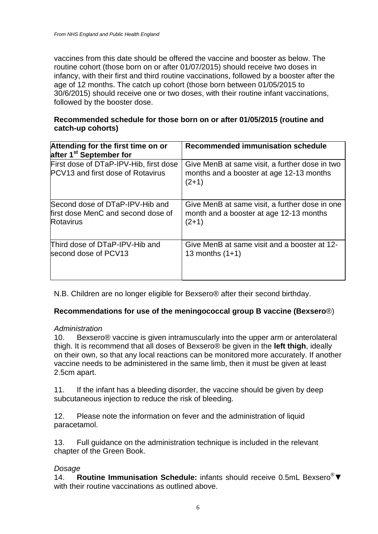vaccines from this date should be offered the vaccine and booster as below. The routine cohort (those born on or after 01/07/2015) should receive two doses in infancy, with their first and third routine vaccinations, followed by a booster after the age of 12 months. The catch up cohort (those born between 01/05/2015 to 30/6/2015) should receive one or two doses, with their routine infant vaccinations, followed by the booster dose.

## **Recommended schedule for those born on or after 01/05/2015 (routine and catch-up cohorts)**

| Attending for the first time on or<br>after 1 <sup>st</sup> September for          | <b>Recommended immunisation schedule</b>                                                              |
|------------------------------------------------------------------------------------|-------------------------------------------------------------------------------------------------------|
| First dose of DTaP-IPV-Hib, first dose<br><b>PCV13 and first dose of Rotavirus</b> | Give MenB at same visit, a further dose in two<br>months and a booster at age 12-13 months<br>$(2+1)$ |
| Second dose of DTaP-IPV-Hib and                                                    | Give MenB at same visit, a further dose in one                                                        |
| first dose MenC and second dose of                                                 | month and a booster at age 12-13 months                                                               |
| <b>Rotavirus</b>                                                                   | $(2+1)$                                                                                               |
| Third dose of DTaP-IPV-Hib and                                                     | Give MenB at same visit and a booster at 12-                                                          |
| second dose of PCV13                                                               | 13 months $(1+1)$                                                                                     |

N.B. Children are no longer eligible for Bexsero® after their second birthday.

## **Recommendations for use of the meningococcal group B vaccine (Bexsero**®)

#### *Administration*

10. Bexsero® vaccine is given intramuscularly into the upper arm or anterolateral thigh. It is recommend that all doses of Bexsero® be given in the **left thigh**, ideally on their own, so that any local reactions can be monitored more accurately. If another vaccine needs to be administered in the same limb, then it must be given at least 2.5cm apart.

11. If the infant has a bleeding disorder, the vaccine should be given by deep subcutaneous injection to reduce the risk of bleeding.

12. Please note the information on fever and the administration of liquid paracetamol.

13. Full guidance on the administration technique is included in the relevant chapter of the Green Book.

#### *Dosage*

14. **Routine Immunisation Schedule:** infants should receive 0.5mL Bexsero®▼ with their routine vaccinations as outlined above.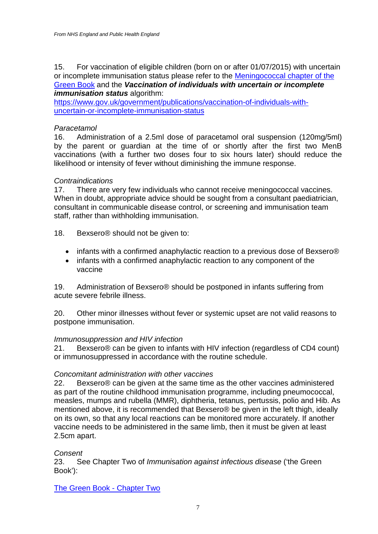#### 15. For vaccination of eligible children (born on or after 01/07/2015) with uncertain or incomplete immunisation status please refer to the [Meningococcal chapter of the](https://www.gov.uk/government/collections/immunisation-against-infectious-disease-the-green-book)  [Green Book](https://www.gov.uk/government/collections/immunisation-against-infectious-disease-the-green-book) and the *Vaccination of individuals with uncertain or incomplete immunisation status* algorithm:

[https://www.gov.uk/government/publications/vaccination-of-individuals-with](https://www.gov.uk/government/publications/vaccination-of-individuals-with-uncertain-or-incomplete-immunisation-status)[uncertain-or-incomplete-immunisation-status](https://www.gov.uk/government/publications/vaccination-of-individuals-with-uncertain-or-incomplete-immunisation-status)

#### *Paracetamol*

16. Administration of a 2.5ml dose of paracetamol oral suspension (120mg/5ml) by the parent or guardian at the time of or shortly after the first two MenB vaccinations (with a further two doses four to six hours later) should reduce the likelihood or intensity of fever without diminishing the immune response.

#### *Contraindications*

17. There are very few individuals who cannot receive meningococcal vaccines. When in doubt, appropriate advice should be sought from a consultant paediatrician, consultant in communicable disease control, or screening and immunisation team staff, rather than withholding immunisation.

18. Bexsero® should not be given to:

- infants with a confirmed anaphylactic reaction to a previous dose of Bexsero<sup>®</sup>
- infants with a confirmed anaphylactic reaction to any component of the vaccine

19. Administration of Bexsero® should be postponed in infants suffering from acute severe febrile illness.

20. Other minor illnesses without fever or systemic upset are not valid reasons to postpone immunisation.

#### *Immunosuppression and HIV infection*

21. Bexsero® can be given to infants with HIV infection (regardless of CD4 count) or immunosuppressed in accordance with the routine schedule.

#### *Concomitant administration with other vaccines*

22. Bexsero® can be given at the same time as the other vaccines administered as part of the routine childhood immunisation programme, including pneumococcal, measles, mumps and rubella (MMR), diphtheria, tetanus, pertussis, polio and Hib. As mentioned above, it is recommended that Bexsero® be given in the left thigh, ideally on its own, so that any local reactions can be monitored more accurately. If another vaccine needs to be administered in the same limb, then it must be given at least 2.5cm apart.

#### *Consent*

23. See Chapter Two of *Immunisation against infectious disease* ('the Green Book'):

[The Green Book](http://immunisation.dh.gov.uk/green-book-chapters/chapter-2/) - Chapter Two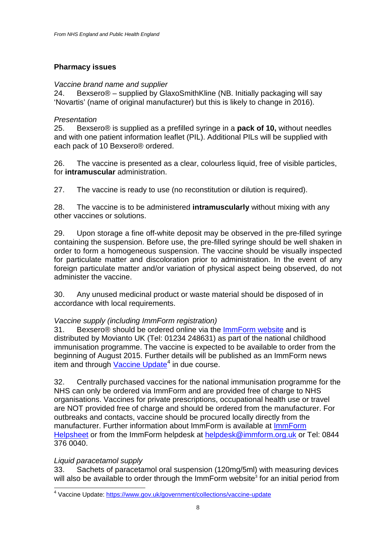# **Pharmacy issues**

## *Vaccine brand name and supplier*

24. Bexsero® – supplied by GlaxoSmithKline (NB. Initially packaging will say 'Novartis' (name of original manufacturer) but this is likely to change in 2016).

## *Presentation*

25. Bexsero® is supplied as a prefilled syringe in a **pack of 10,** without needles and with one patient information leaflet (PIL). Additional PILs will be supplied with each pack of 10 Bexsero® ordered.

26. The vaccine is presented as a clear, colourless liquid, free of visible particles, for **intramuscular** administration.

27. The vaccine is ready to use (no reconstitution or dilution is required).

28. The vaccine is to be administered **intramuscularly** without mixing with any other vaccines or solutions.

29. Upon storage a fine off-white deposit may be observed in the pre-filled syringe containing the suspension. Before use, the pre-filled syringe should be well shaken in order to form a homogeneous suspension. The vaccine should be visually inspected for particulate matter and discoloration prior to administration. In the event of any foreign particulate matter and/or variation of physical aspect being observed, do not administer the vaccine.

30. Any unused medicinal product or waste material should be disposed of in accordance with local requirements.

## *Vaccine supply (including ImmForm registration)*

31. Bexsero<sup>®</sup> should be ordered online via the [ImmForm](http://www.immform.dh.gov.uk/) website and is distributed by Movianto UK (Tel: 01234 248631) as part of the national childhood immunisation programme. The vaccine is expected to be available to order from the beginning of August 2015. Further details will be published as an ImmForm news item and through [Vaccine Update](https://www.gov.uk/government/collections/vaccine-update)<sup>[4](#page-7-0)</sup> in due course.

32. Centrally purchased vaccines for the national immunisation programme for the NHS can only be ordered via ImmForm and are provided free of charge to NHS organisations. Vaccines for private prescriptions, occupational health use or travel are NOT provided free of charge and should be ordered from the manufacturer. For outbreaks and contacts, vaccine should be procured locally directly from the manufacturer. Further information about ImmForm is available at [ImmForm](http://www.immunisation.dh.gov.uk/immform-helpsheets)  [Helpsheet](http://www.immunisation.dh.gov.uk/immform-helpsheets) or from the ImmForm helpdesk at [helpdesk@immform.org.uk](mailto:helpdesk@immform.org.uk) or Tel: 0844 376 0040.

## *Liquid paracetamol supply*

33. Sachets of paracetamol oral suspension (120mg/5ml) with measuring devices will also be available to order through the ImmForm website<sup>3</sup> for an initial period from

<span id="page-7-0"></span><sup>4</sup> Vaccine Update:<https://www.gov.uk/government/collections/vaccine-update>  $\overline{\phantom{a}}$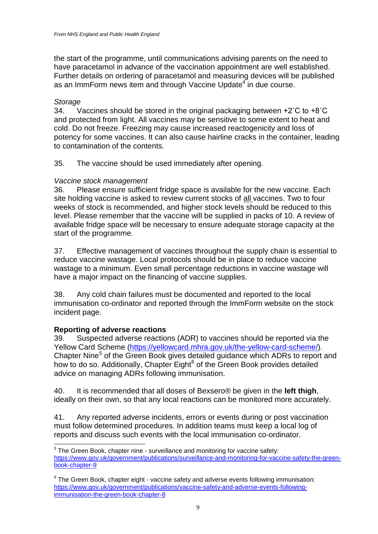the start of the programme, until communications advising parents on the need to have paracetamol in advance of the vaccination appointment are well established. Further details on ordering of paracetamol and measuring devices will be published as an ImmForm news item and through Vaccine Update<sup>4</sup> in due course.

#### *Storage*

34. Vaccines should be stored in the original packaging between  $+2^{\circ}$ C to  $+8^{\circ}$ C and protected from light. All vaccines may be sensitive to some extent to heat and cold. Do not freeze. Freezing may cause increased reactogenicity and loss of potency for some vaccines. It can also cause hairline cracks in the container, leading to contamination of the contents.

35. The vaccine should be used immediately after opening.

## *Vaccine stock management*

36. Please ensure sufficient fridge space is available for the new vaccine. Each site holding vaccine is asked to review current stocks of all vaccines. Two to four weeks of stock is recommended, and higher stock levels should be reduced to this level. Please remember that the vaccine will be supplied in packs of 10. A review of available fridge space will be necessary to ensure adequate storage capacity at the start of the programme.

37. Effective management of vaccines throughout the supply chain is essential to reduce vaccine wastage. Local protocols should be in place to reduce vaccine wastage to a minimum. Even small percentage reductions in vaccine wastage will have a major impact on the financing of vaccine supplies.

38. Any cold chain failures must be documented and reported to the local immunisation co-ordinator and reported through the ImmForm website on the stock incident page.

# **Reporting of adverse reactions**

-

Suspected adverse reactions (ADR) to vaccines should be reported via the Yellow Card Scheme [\(https://yellowcard.mhra.gov.uk/the-yellow-card-scheme/\)](https://yellowcard.mhra.gov.uk/the-yellow-card-scheme/). Chapter Nine<sup>[5](#page-8-0)</sup> of the Green Book gives detailed guidance which ADRs to report and how to do so. Additionally, Chapter Eight $<sup>6</sup>$  $<sup>6</sup>$  $<sup>6</sup>$  of the Green Book provides detailed</sup> advice on managing ADRs following immunisation.

40. It is recommended that all doses of Bexsero® be given in the **left thigh**, ideally on their own, so that any local reactions can be monitored more accurately.

41. Any reported adverse incidents, errors or events during or post vaccination must follow determined procedures. In addition teams must keep a local log of reports and discuss such events with the local immunisation co-ordinator.

<span id="page-8-0"></span> $<sup>5</sup>$  The Green Book, chapter nine - surveillance and monitoring for vaccine safety:</sup> [https://www.gov.uk/government/publications/surveillance-and-monitoring-for-vaccine-safety-the-green](https://www.gov.uk/government/publications/surveillance-and-monitoring-for-vaccine-safety-the-green-book-chapter-9)[book-chapter-9](https://www.gov.uk/government/publications/surveillance-and-monitoring-for-vaccine-safety-the-green-book-chapter-9)

<span id="page-8-1"></span> $6$  The Green Book, chapter eight - vaccine safety and adverse events following immunisation: [https://www.gov.uk/government/publications/vaccine-safety-and-adverse-events-following](https://www.gov.uk/government/publications/vaccine-safety-and-adverse-events-following-immunisation-the-green-book-chapter-8)[immunisation-the-green-book-chapter-8](https://www.gov.uk/government/publications/vaccine-safety-and-adverse-events-following-immunisation-the-green-book-chapter-8)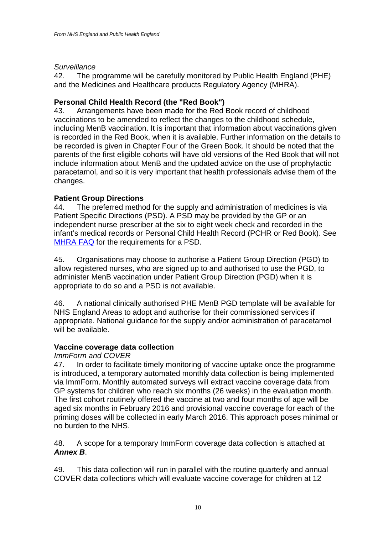## *Surveillance*

42. The programme will be carefully monitored by Public Health England (PHE) and the Medicines and Healthcare products Regulatory Agency (MHRA).

## **Personal Child Health Record (the "Red Book")**

43. Arrangements have been made for the Red Book record of childhood vaccinations to be amended to reflect the changes to the childhood schedule, including MenB vaccination. It is important that information about vaccinations given is recorded in the Red Book, when it is available. Further information on the details to be recorded is given in Chapter Four of the Green Book. It should be noted that the parents of the first eligible cohorts will have old versions of the Red Book that will not include information about MenB and the updated advice on the use of prophylactic paracetamol, and so it is very important that health professionals advise them of the changes.

## **Patient Group Directions**

44. The preferred method for the supply and administration of medicines is via Patient Specific Directions (PSD). A PSD may be provided by the GP or an independent nurse prescriber at the six to eight week check and recorded in the infant's medical records or Personal Child Health Record (PCHR or Red Book). See [MHRA FAQ](http://webarchive.nationalarchives.gov.uk/20141205150130/http:/www.mhra.gov.uk/Howweregulate/Medicines/Availabilityprescribingsellingandsupplyingofmedicines/Frequentlyraisedissues/PatientSpecificDirections/index.htm) for the requirements for a PSD.

45. Organisations may choose to authorise a Patient Group Direction (PGD) to allow registered nurses, who are signed up to and authorised to use the PGD, to administer MenB vaccination under Patient Group Direction (PGD) when it is appropriate to do so and a PSD is not available.

46. A national clinically authorised PHE MenB PGD template will be available for NHS England Areas to adopt and authorise for their commissioned services if appropriate. National guidance for the supply and/or administration of paracetamol will be available.

## **Vaccine coverage data collection**

## *ImmForm and COVER*

47. In order to facilitate timely monitoring of vaccine uptake once the programme is introduced, a temporary automated monthly data collection is being implemented via ImmForm. Monthly automated surveys will extract vaccine coverage data from GP systems for children who reach six months (26 weeks) in the evaluation month. The first cohort routinely offered the vaccine at two and four months of age will be aged six months in February 2016 and provisional vaccine coverage for each of the priming doses will be collected in early March 2016. This approach poses minimal or no burden to the NHS.

48. A scope for a temporary ImmForm coverage data collection is attached at *Annex B*.

49. This data collection will run in parallel with the routine quarterly and annual COVER data collections which will evaluate vaccine coverage for children at 12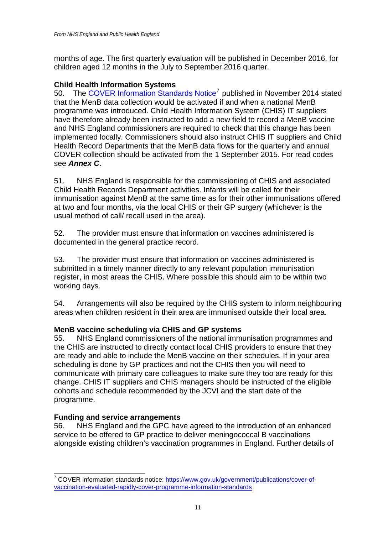months of age. The first quarterly evaluation will be published in December 2016, for children aged 12 months in the July to September 2016 quarter.

## **Child Health Information Systems**

50. The [COVER Information Standards Notice](https://www.gov.uk/government/publications/cover-of-vaccination-evaluated-rapidly-cover-programme-information-standards)<sup>[7](#page-10-0)</sup> published in November 2014 stated that the MenB data collection would be activated if and when a national MenB programme was introduced. Child Health Information System (CHIS) IT suppliers have therefore already been instructed to add a new field to record a MenB vaccine and NHS England commissioners are required to check that this change has been implemented locally. Commissioners should also instruct CHIS IT suppliers and Child Health Record Departments that the MenB data flows for the quarterly and annual COVER collection should be activated from the 1 September 2015. For read codes see *Annex C*.

51. NHS England is responsible for the commissioning of CHIS and associated Child Health Records Department activities. Infants will be called for their immunisation against MenB at the same time as for their other immunisations offered at two and four months, via the local CHIS or their GP surgery (whichever is the usual method of call/ recall used in the area).

52. The provider must ensure that information on vaccines administered is documented in the general practice record.

53. The provider must ensure that information on vaccines administered is submitted in a timely manner directly to any relevant population immunisation register, in most areas the CHIS. Where possible this should aim to be within two working days.

54. Arrangements will also be required by the CHIS system to inform neighbouring areas when children resident in their area are immunised outside their local area.

## **MenB vaccine scheduling via CHIS and GP systems**

55. NHS England commissioners of the national immunisation programmes and the CHIS are instructed to directly contact local CHIS providers to ensure that they are ready and able to include the MenB vaccine on their schedules. If in your area scheduling is done by GP practices and not the CHIS then you will need to communicate with primary care colleagues to make sure they too are ready for this change. CHIS IT suppliers and CHIS managers should be instructed of the eligible cohorts and schedule recommended by the JCVI and the start date of the programme.

#### **Funding and service arrangements**

-

56. NHS England and the GPC have agreed to the introduction of an enhanced service to be offered to GP practice to deliver meningococcal B vaccinations alongside existing children's vaccination programmes in England. Further details of

<span id="page-10-0"></span><sup>&</sup>lt;sup>7</sup> COVER information standards notice: [https://www.gov.uk/government/publications/cover-of](https://www.gov.uk/government/publications/cover-of-vaccination-evaluated-rapidly-cover-programme-information-standards)[vaccination-evaluated-rapidly-cover-programme-information-standards](https://www.gov.uk/government/publications/cover-of-vaccination-evaluated-rapidly-cover-programme-information-standards)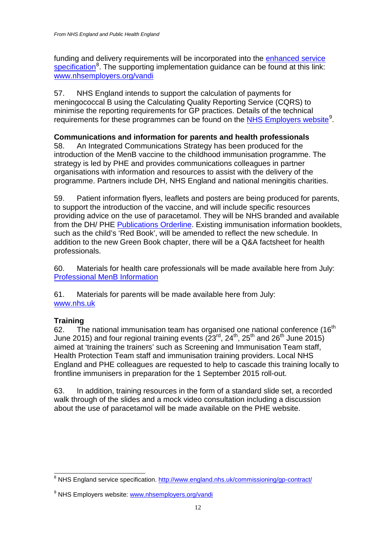funding and delivery requirements will be incorporated into the [enhanced service](http://www.england.nhs.uk/commissioning/gp-contract/)  [specification](http://www.england.nhs.uk/commissioning/gp-contract/)<sup>[8](#page-11-0)</sup>. The supporting implementation guidance can be found at this link: [www.nhsemployers.org/vandi](http://www.nhsemployers.org/vandi)

57. NHS England intends to support the calculation of payments for meningococcal B using the Calculating Quality Reporting Service (CQRS) to minimise the reporting requirements for GP practices. Details of the technical requirements for these programmes can be found on the **NHS Employers website**<sup>[9](#page-11-1)</sup>.

## **Communications and information for parents and health professionals**

58. An Integrated Communications Strategy has been produced for the introduction of the MenB vaccine to the childhood immunisation programme. The strategy is led by PHE and provides communications colleagues in partner organisations with information and resources to assist with the delivery of the programme. Partners include DH, NHS England and national meningitis charities.

59. Patient information flyers, leaflets and posters are being produced for parents, to support the introduction of the vaccine, and will include specific resources providing advice on the use of paracetamol. They will be NHS branded and available from the DH/ PHE [Publications Orderline.](https://www.orderline.dh.gov.uk/ecom_dh/public/home.jsf) Existing immunisation information booklets, such as the child's 'Red Book', will be amended to reflect the new schedule. In addition to the new Green Book chapter, there will be a Q&A factsheet for health professionals.

60. Materials for health care professionals will be made available here from July: Professional [MenB Information](https://www.gov.uk/government/organisations/public-health-england/series/immunisation)

61. Materials for parents will be made available here from July: [www.nhs.uk](http://www.nhs.uk/)

## **Training**

62. The national immunisation team has organised one national conference  $(16<sup>th</sup>)$ June 2015) and four regional training events  $(23^{rd}, 24^{th}, 25^{th})$  and  $26^{th}$  June 2015) aimed at 'training the trainers' such as Screening and Immunisation Team staff, Health Protection Team staff and immunisation training providers. Local NHS England and PHE colleagues are requested to help to cascade this training locally to frontline immunisers in preparation for the 1 September 2015 roll-out.

63. In addition, training resources in the form of a standard slide set, a recorded walk through of the slides and a mock video consultation including a discussion about the use of paracetamol will be made available on the PHE website.

<span id="page-11-0"></span><sup>&</sup>lt;sup>8</sup> NHS England service specification.<http://www.england.nhs.uk/commissioning/gp-contract/>  $\overline{\phantom{a}}$ 

<span id="page-11-1"></span><sup>&</sup>lt;sup>9</sup> NHS Employers website: [www.nhsemployers.org/vandi](http://www.nhsemployers.org/vandi)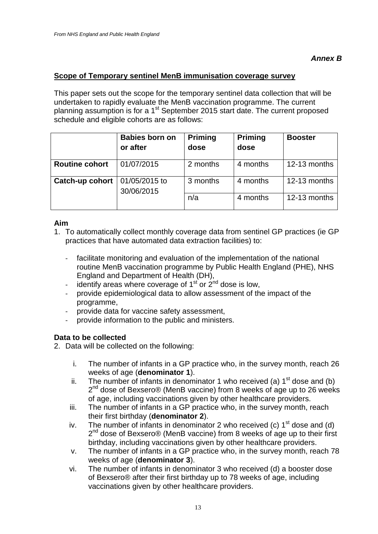## **Scope of Temporary sentinel MenB immunisation coverage survey**

This paper sets out the scope for the temporary sentinel data collection that will be undertaken to rapidly evaluate the MenB vaccination programme. The current planning assumption is for a 1<sup>st</sup> September 2015 start date. The current proposed schedule and eligible cohorts are as follows:

|                                                       | <b>Babies born on</b><br>or after | <b>Priming</b><br>dose | <b>Priming</b><br>dose | <b>Booster</b> |
|-------------------------------------------------------|-----------------------------------|------------------------|------------------------|----------------|
| <b>Routine cohort</b>                                 | 01/07/2015                        | 2 months               | 4 months               | 12-13 months   |
| 01/05/2015 to<br><b>Catch-up cohort</b><br>30/06/2015 | 3 months                          | 4 months               | 12-13 months           |                |
|                                                       |                                   | n/a                    | 4 months               | 12-13 months   |

## **Aim**

- 1. To automatically collect monthly coverage data from sentinel GP practices (ie GP practices that have automated data extraction facilities) to:
	- facilitate monitoring and evaluation of the implementation of the national routine MenB vaccination programme by Public Health England (PHE), NHS England and Department of Health (DH),
	- identify areas where coverage of  $1<sup>st</sup>$  or  $2<sup>nd</sup>$  dose is low,
	- provide epidemiological data to allow assessment of the impact of the programme,
	- provide data for vaccine safety assessment,
	- provide information to the public and ministers.

#### **Data to be collected**

2. Data will be collected on the following:

- i. The number of infants in a GP practice who, in the survey month, reach 26 weeks of age (**denominator 1**).
- ii. The number of infants in denominator 1 who received (a)  $1<sup>st</sup>$  dose and (b)  $2<sup>nd</sup>$  dose of Bexsero® (MenB vaccine) from 8 weeks of age up to 26 weeks of age, including vaccinations given by other healthcare providers.
- iii. The number of infants in a GP practice who, in the survey month, reach their first birthday (**denominator 2**).
- iv. The number of infants in denominator 2 who received (c)  $1<sup>st</sup>$  dose and (d)  $2<sup>nd</sup>$  dose of Bexsero® (MenB vaccine) from 8 weeks of age up to their first birthday, including vaccinations given by other healthcare providers.
- v. The number of infants in a GP practice who, in the survey month, reach 78 weeks of age (**denominator 3**).
- vi. The number of infants in denominator 3 who received (d) a booster dose of Bexsero® after their first birthday up to 78 weeks of age, including vaccinations given by other healthcare providers.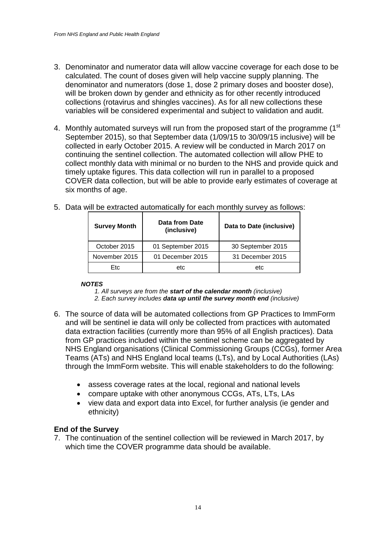- 3. Denominator and numerator data will allow vaccine coverage for each dose to be calculated. The count of doses given will help vaccine supply planning. The denominator and numerators (dose 1, dose 2 primary doses and booster dose), will be broken down by gender and ethnicity as for other recently introduced collections (rotavirus and shingles vaccines). As for all new collections these variables will be considered experimental and subject to validation and audit.
- 4. Monthly automated surveys will run from the proposed start of the programme (1<sup>st</sup>) September 2015), so that September data (1/09/15 to 30/09/15 inclusive) will be collected in early October 2015. A review will be conducted in March 2017 on continuing the sentinel collection. The automated collection will allow PHE to collect monthly data with minimal or no burden to the NHS and provide quick and timely uptake figures. This data collection will run in parallel to a proposed COVER data collection, but will be able to provide early estimates of coverage at six months of age.

| 5. Data will be extracted automatically for each monthly survey as follows: |
|-----------------------------------------------------------------------------|
|-----------------------------------------------------------------------------|

| <b>Survey Month</b> | Data from Date<br>(inclusive) | Data to Date (inclusive) |  |
|---------------------|-------------------------------|--------------------------|--|
| October 2015        | 01 September 2015             | 30 September 2015        |  |
| November 2015       | 01 December 2015              | 31 December 2015         |  |
| Etc                 | etc                           | etc                      |  |

#### *NOTES*

*1. All surveys are from the start of the calendar month (inclusive)*

- *2. Each survey includes data up until the survey month end (inclusive)*
- 6. The source of data will be automated collections from GP Practices to ImmForm and will be sentinel ie data will only be collected from practices with automated data extraction facilities (currently more than 95% of all English practices). Data from GP practices included within the sentinel scheme can be aggregated by NHS England organisations (Clinical Commissioning Groups (CCGs), former Area Teams (ATs) and NHS England local teams (LTs), and by Local Authorities (LAs) through the ImmForm website. This will enable stakeholders to do the following:
	- assess coverage rates at the local, regional and national levels
	- compare uptake with other anonymous CCGs, ATs, LTs, LAs
	- view data and export data into Excel, for further analysis (ie gender and ethnicity)

## **End of the Survey**

7. The continuation of the sentinel collection will be reviewed in March 2017, by which time the COVER programme data should be available.